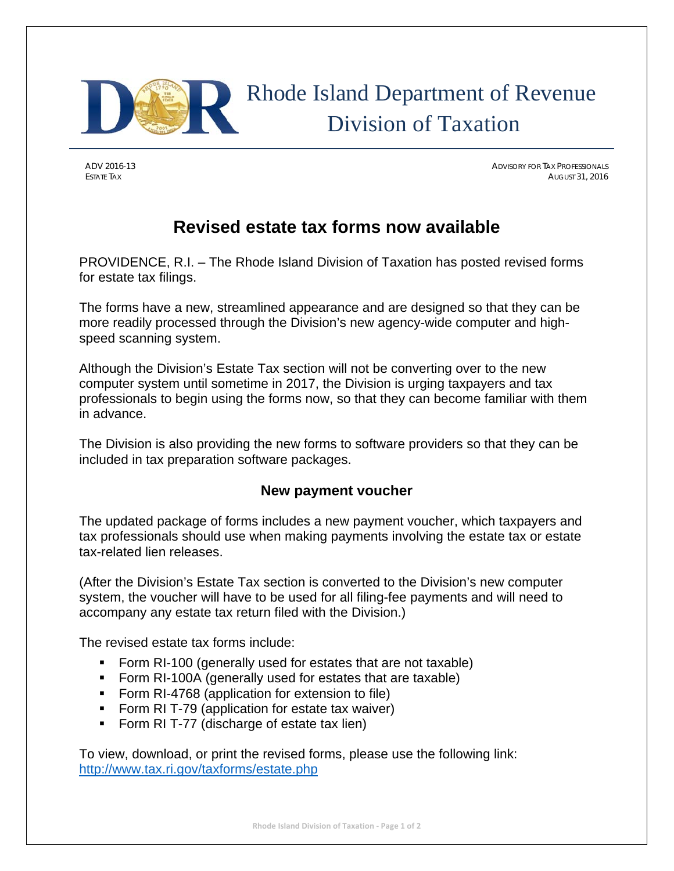

# Rhode Island Department of Revenue Division of Taxation

ADV 2016-13 ADVISORY FOR TAX PROFESSIONALS ESTATE TAX AUGUST 31, 2016

## **Revised estate tax forms now available**

PROVIDENCE, R.I. – The Rhode Island Division of Taxation has posted revised forms for estate tax filings.

The forms have a new, streamlined appearance and are designed so that they can be more readily processed through the Division's new agency-wide computer and highspeed scanning system.

Although the Division's Estate Tax section will not be converting over to the new computer system until sometime in 2017, the Division is urging taxpayers and tax professionals to begin using the forms now, so that they can become familiar with them in advance.

The Division is also providing the new forms to software providers so that they can be included in tax preparation software packages.

#### **New payment voucher**

The updated package of forms includes a new payment voucher, which taxpayers and tax professionals should use when making payments involving the estate tax or estate tax-related lien releases.

(After the Division's Estate Tax section is converted to the Division's new computer system, the voucher will have to be used for all filing-fee payments and will need to accompany any estate tax return filed with the Division.)

The revised estate tax forms include:

- Form RI-100 (generally used for estates that are not taxable)
- Form RI-100A (generally used for estates that are taxable)
- **Form RI-4768 (application for extension to file)**
- Form RI T-79 (application for estate tax waiver)
- Form RI T-77 (discharge of estate tax lien)

To view, download, or print the revised forms, please use the following link: http://www.tax.ri.gov/taxforms/estate.php